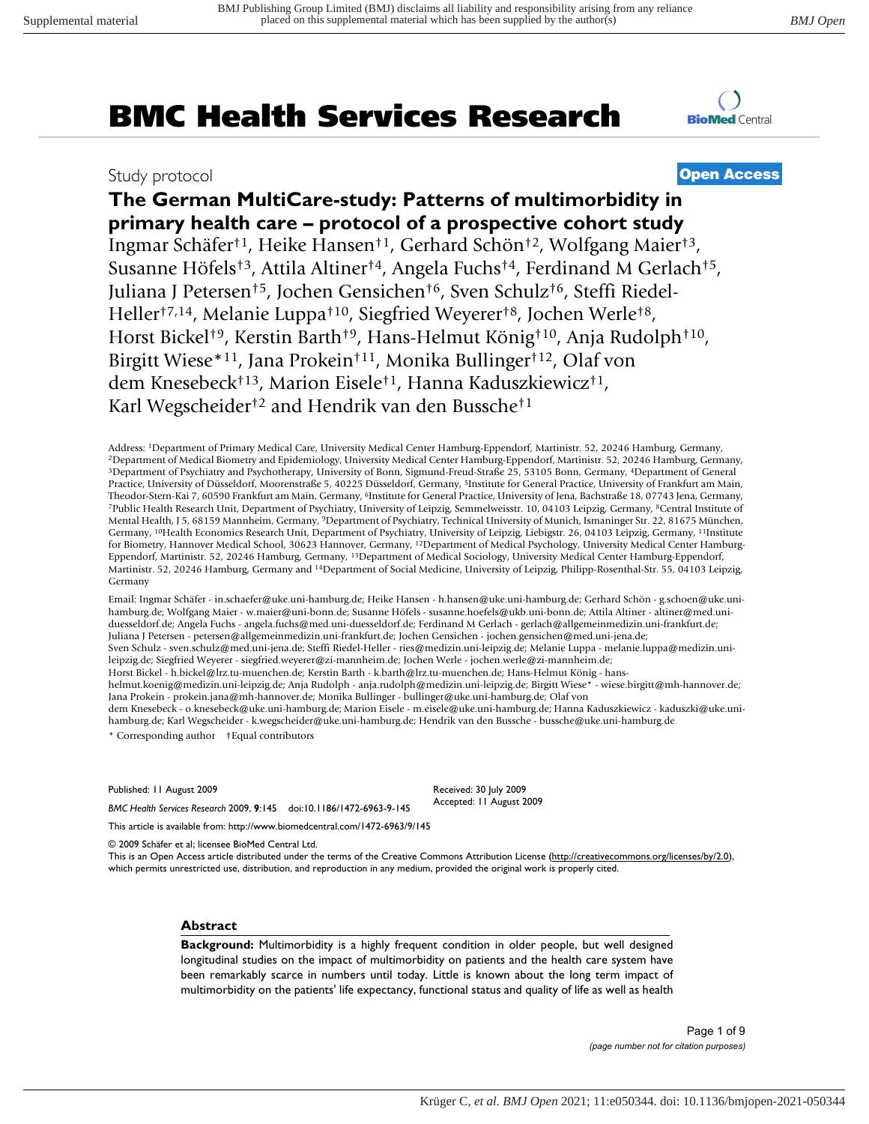# BMC Health Services Research

## Study protocol **[Open Access](http://www.biomedcentral.com/info/about/charter/)**



**[BioMed](http://www.biomedcentral.com/) Central** 

**The German MultiCare-study: Patterns of multimorbidity in primary health care – protocol of a prospective cohort study** Ingmar Schäfer†1, Heike Hansen†1, Gerhard Schön†2, Wolfgang Maier†3, Susanne Höfels†3, Attila Altiner†4, Angela Fuchs†4, Ferdinand M Gerlach†5, Juliana J Petersen†5, Jochen Gensichen†6, Sven Schulz†6, Steffi Riedel-Heller†7,14, Melanie Luppa†10, Siegfried Weyerer†8, Jochen Werle†8, Horst Bickel†9, Kerstin Barth†9, Hans-Helmut König†10, Anja Rudolph†10, Birgitt Wiese\*11, Jana Prokein†11, Monika Bullinger†12, Olaf von dem Knesebeck†13, Marion Eisele†1, Hanna Kaduszkiewicz†1, Karl Wegscheider†2 and Hendrik van den Bussche†1

Address: <sup>1</sup>Department of Primary Medical Care, University Medical Center Hamburg-Eppendorf, Martinistr. 52, 20246 Hamburg, Germany, <sup>2</sup>Department of Medical Biometry and Epidemiology, University Medical Center Hamburg-Eppendorf, Martinistr. 52, 20246 Hamburg, Germany, <sup>3</sup>Department of Psychiatry and Psychotherapy, University of Bonn, Sigmund-Freud-Straße 25, 53105 Bonn, Germany, <sup>4</sup>Department of General Practice, University of Düsseldorf, Moorenstraße 5, 40225 Düsseldorf, Germany, <sup>5</sup>Institute for General Practice, University of Frankfurt am Main, Theodor-Stern-Kai 7, 60590 Frankfurt am Main, Germany, <sup>6</sup>Institute for General Practice, University of Jena, Bachstraße 18, 07743 Jena, Germany, <sup>7</sup>Public Health Research Unit, Department of Psychiatry, University of Leipzig, Semmelweisstr. 10, 04103 Leipzig, Germany, <sup>8</sup>Central Institute of Mental Health, J 5, 68159 Mannheim, Germany, <sup>9</sup>Department of Psychiatry, Technical University of Munich, Ismaninger Str. 22, 81675 München, Germany, <sup>10</sup>Health Economics Research Unit, Department of Psychiatry, University of Leipzig, Liebigstr. 26, 04103 Leipzig, Germany, <sup>11</sup>Institute for Biometry, Hannover Medical School, 30623 Hannover, Germany, 12Department of Medical Psychology, University Medical Center Hamburg-Eppendorf, Martinistr. 52, 20246 Hamburg, Germany, <sup>13</sup>Department of Medical Sociology, University Medical Center Hamburg-Eppendorf, Martinistr. 52, 20246 Hamburg, Germany and <sup>14</sup>Department of Social Medicine, University of Leipzig, Philipp-Rosenthal-Str. 55, 04103 Leipzig, Germany

Email: Ingmar Schäfer - in.schaefer@uke.uni-hamburg.de; Heike Hansen - h.hansen@uke.uni-hamburg.de; Gerhard Schön - g.schoen@uke.unihamburg.de; Wolfgang Maier - w.maier@uni-bonn.de; Susanne Höfels - susanne.hoefels@ukb.uni-bonn.de; Attila Altiner - altiner@med.uniduesseldorf.de; Angela Fuchs - angela.fuchs@med.uni-duesseldorf.de; Ferdinand M Gerlach - gerlach@allgemeinmedizin.uni-frankfurt.de; Juliana J Petersen - petersen@allgemeinmedizin.uni-frankfurt.de; Jochen Gensichen - jochen.gensichen@med.uni-jena.de;

Sven Schulz - sven.schulz@med.uni-jena.de; Steffi Riedel-Heller - ries@medizin.uni-leipzig.de; Melanie Luppa - melanie.luppa@medizin.unileipzig.de; Siegfried Weyerer - siegfried.weyerer@zi-mannheim.de; Jochen Werle - jochen.werle@zi-mannheim.de;

Horst Bickel - h.bickel@lrz.tu-muenchen.de; Kerstin Barth - k.barth@lrz.tu-muenchen.de; Hans-Helmut König - hans-

helmut.koenig@medizin.uni-leipzig.de; Anja Rudolph - anja.rudolph@medizin.uni-leipzig.de; Birgitt Wiese\* - wiese.birgitt@mh-hannover.de; Jana Prokein - prokein.jana@mh-hannover.de; Monika Bullinger - bullinger@uke.uni-hamburg.de; Olaf von

dem Knesebeck - o.knesebeck@uke.uni-hamburg.de; Marion Eisele - m.eisele@uke.uni-hamburg.de; Hanna Kaduszkiewicz - kaduszki@uke.unihamburg.de; Karl Wegscheider - k.wegscheider@uke.uni-hamburg.de; Hendrik van den Bussche - bussche@uke.uni-hamburg.de

\* Corresponding author †Equal contributors

Published: 11 August 2009

Received: 30 July 2009 Accepted: 11 August 2009

*BMC Health Services Research* 2009, **9**:145 doi:10.1186/1472-6963-9-145 [This article is available from: http://www.biomedcentral.com/1472-6963/9/145](http://www.biomedcentral.com/1472-6963/9/145)

© 2009 Schäfer et al; licensee BioMed Central Ltd.

This is an Open Access article distributed under the terms of the Creative Commons Attribution License [\(http://creativecommons.org/licenses/by/2.0\)](http://creativecommons.org/licenses/by/2.0), which permits unrestricted use, distribution, and reproduction in any medium, provided the original work is properly cited.

#### **Abstract**

**Background:** Multimorbidity is a highly frequent condition in older people, but well designed longitudinal studies on the impact of multimorbidity on patients and the health care system have been remarkably scarce in numbers until today. Little is known about the long term impact of multimorbidity on the patients' life expectancy, functional status and quality of life as well as health

> Page 1 of 9 *(page number not for citation purposes)*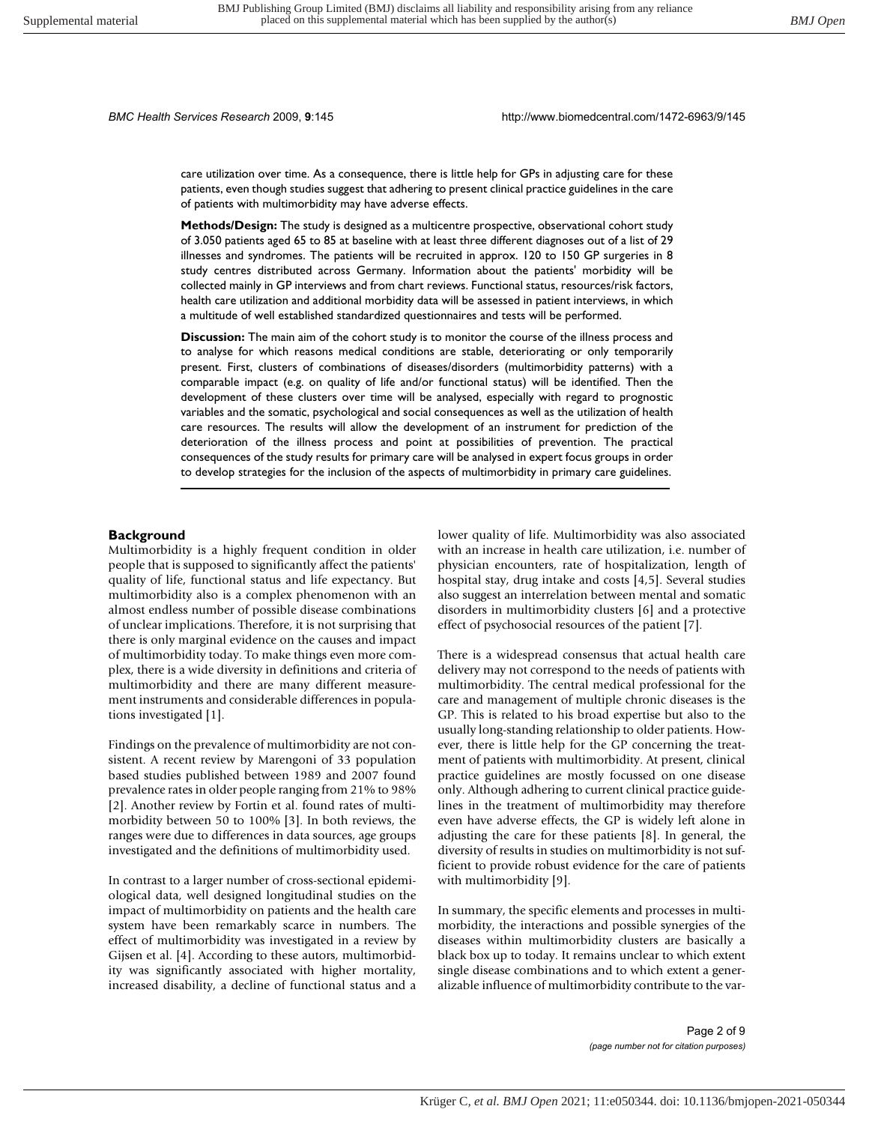care utilization over time. As a consequence, there is little help for GPs in adjusting care for these patients, even though studies suggest that adhering to present clinical practice guidelines in the care of patients with multimorbidity may have adverse effects.

**Methods/Design:** The study is designed as a multicentre prospective, observational cohort study of 3.050 patients aged 65 to 85 at baseline with at least three different diagnoses out of a list of 29 illnesses and syndromes. The patients will be recruited in approx. 120 to 150 GP surgeries in 8 study centres distributed across Germany. Information about the patients' morbidity will be collected mainly in GP interviews and from chart reviews. Functional status, resources/risk factors, health care utilization and additional morbidity data will be assessed in patient interviews, in which a multitude of well established standardized questionnaires and tests will be performed.

**Discussion:** The main aim of the cohort study is to monitor the course of the illness process and to analyse for which reasons medical conditions are stable, deteriorating or only temporarily present. First, clusters of combinations of diseases/disorders (multimorbidity patterns) with a comparable impact (e.g. on quality of life and/or functional status) will be identified. Then the development of these clusters over time will be analysed, especially with regard to prognostic variables and the somatic, psychological and social consequences as well as the utilization of health care resources. The results will allow the development of an instrument for prediction of the deterioration of the illness process and point at possibilities of prevention. The practical consequences of the study results for primary care will be analysed in expert focus groups in order to develop strategies for the inclusion of the aspects of multimorbidity in primary care guidelines.

#### **Background**

Multimorbidity is a highly frequent condition in older people that is supposed to significantly affect the patients' quality of life, functional status and life expectancy. But multimorbidity also is a complex phenomenon with an almost endless number of possible disease combinations of unclear implications. Therefore, it is not surprising that there is only marginal evidence on the causes and impact of multimorbidity today. To make things even more complex, there is a wide diversity in definitions and criteria of multimorbidity and there are many different measurement instruments and considerable differences in populations investigated [1].

Findings on the prevalence of multimorbidity are not consistent. A recent review by Marengoni of 33 population based studies published between 1989 and 2007 found prevalence rates in older people ranging from 21% to 98% [2]. Another review by Fortin et al. found rates of multimorbidity between 50 to 100% [3]. In both reviews, the ranges were due to differences in data sources, age groups investigated and the definitions of multimorbidity used.

In contrast to a larger number of cross-sectional epidemiological data, well designed longitudinal studies on the impact of multimorbidity on patients and the health care system have been remarkably scarce in numbers. The effect of multimorbidity was investigated in a review by Gijsen et al. [4]. According to these autors, multimorbidity was significantly associated with higher mortality, increased disability, a decline of functional status and a lower quality of life. Multimorbidity was also associated with an increase in health care utilization, i.e. number of physician encounters, rate of hospitalization, length of hospital stay, drug intake and costs [4,5]. Several studies also suggest an interrelation between mental and somatic disorders in multimorbidity clusters [6] and a protective effect of psychosocial resources of the patient [7].

There is a widespread consensus that actual health care delivery may not correspond to the needs of patients with multimorbidity. The central medical professional for the care and management of multiple chronic diseases is the GP. This is related to his broad expertise but also to the usually long-standing relationship to older patients. However, there is little help for the GP concerning the treatment of patients with multimorbidity. At present, clinical practice guidelines are mostly focussed on one disease only. Although adhering to current clinical practice guidelines in the treatment of multimorbidity may therefore even have adverse effects, the GP is widely left alone in adjusting the care for these patients [8]. In general, the diversity of results in studies on multimorbidity is not sufficient to provide robust evidence for the care of patients with multimorbidity [9].

In summary, the specific elements and processes in multimorbidity, the interactions and possible synergies of the diseases within multimorbidity clusters are basically a black box up to today. It remains unclear to which extent single disease combinations and to which extent a generalizable influence of multimorbidity contribute to the var-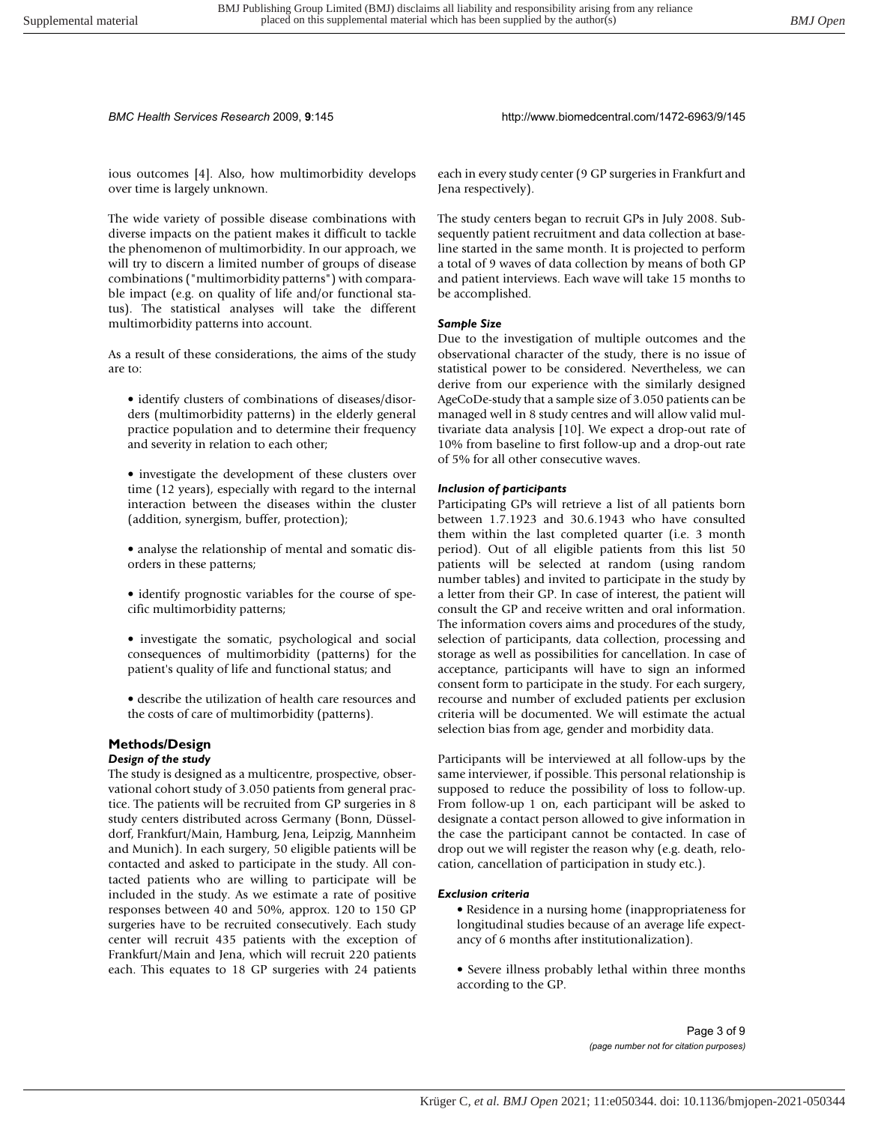ious outcomes [4]. Also, how multimorbidity develops over time is largely unknown.

The wide variety of possible disease combinations with diverse impacts on the patient makes it difficult to tackle the phenomenon of multimorbidity. In our approach, we will try to discern a limited number of groups of disease combinations ("multimorbidity patterns") with comparable impact (e.g. on quality of life and/or functional status). The statistical analyses will take the different multimorbidity patterns into account.

As a result of these considerations, the aims of the study are to:

- identify clusters of combinations of diseases/disorders (multimorbidity patterns) in the elderly general practice population and to determine their frequency and severity in relation to each other;
- investigate the development of these clusters over time (12 years), especially with regard to the internal interaction between the diseases within the cluster (addition, synergism, buffer, protection);
- analyse the relationship of mental and somatic disorders in these patterns;
- identify prognostic variables for the course of specific multimorbidity patterns;
- investigate the somatic, psychological and social consequences of multimorbidity (patterns) for the patient's quality of life and functional status; and
- describe the utilization of health care resources and the costs of care of multimorbidity (patterns).

# **Methods/Design**

#### *Design of the study* The study is designed as a multicentre, prospective, observational cohort study of 3.050 patients from general practice. The patients will be recruited from GP surgeries in 8 study centers distributed across Germany (Bonn, Düsseldorf, Frankfurt/Main, Hamburg, Jena, Leipzig, Mannheim and Munich). In each surgery, 50 eligible patients will be contacted and asked to participate in the study. All contacted patients who are willing to participate will be included in the study. As we estimate a rate of positive responses between 40 and 50%, approx. 120 to 150 GP surgeries have to be recruited consecutively. Each study center will recruit 435 patients with the exception of Frankfurt/Main and Jena, which will recruit 220 patients

each. This equates to 18 GP surgeries with 24 patients

each in every study center (9 GP surgeries in Frankfurt and Jena respectively).

The study centers began to recruit GPs in July 2008. Subsequently patient recruitment and data collection at baseline started in the same month. It is projected to perform a total of 9 waves of data collection by means of both GP and patient interviews. Each wave will take 15 months to be accomplished.

#### *Sample Size*

Due to the investigation of multiple outcomes and the observational character of the study, there is no issue of statistical power to be considered. Nevertheless, we can derive from our experience with the similarly designed AgeCoDe-study that a sample size of 3.050 patients can be managed well in 8 study centres and will allow valid multivariate data analysis [10]. We expect a drop-out rate of 10% from baseline to first follow-up and a drop-out rate of 5% for all other consecutive waves.

#### *Inclusion of participants*

Participating GPs will retrieve a list of all patients born between 1.7.1923 and 30.6.1943 who have consulted them within the last completed quarter (i.e. 3 month period). Out of all eligible patients from this list 50 patients will be selected at random (using random number tables) and invited to participate in the study by a letter from their GP. In case of interest, the patient will consult the GP and receive written and oral information. The information covers aims and procedures of the study, selection of participants, data collection, processing and storage as well as possibilities for cancellation. In case of acceptance, participants will have to sign an informed consent form to participate in the study. For each surgery, recourse and number of excluded patients per exclusion criteria will be documented. We will estimate the actual selection bias from age, gender and morbidity data.

Participants will be interviewed at all follow-ups by the same interviewer, if possible. This personal relationship is supposed to reduce the possibility of loss to follow-up. From follow-up 1 on, each participant will be asked to designate a contact person allowed to give information in the case the participant cannot be contacted. In case of drop out we will register the reason why (e.g. death, relocation, cancellation of participation in study etc.).

#### *Exclusion criteria*

- Residence in a nursing home (inappropriateness for longitudinal studies because of an average life expectancy of 6 months after institutionalization).
- Severe illness probably lethal within three months according to the GP.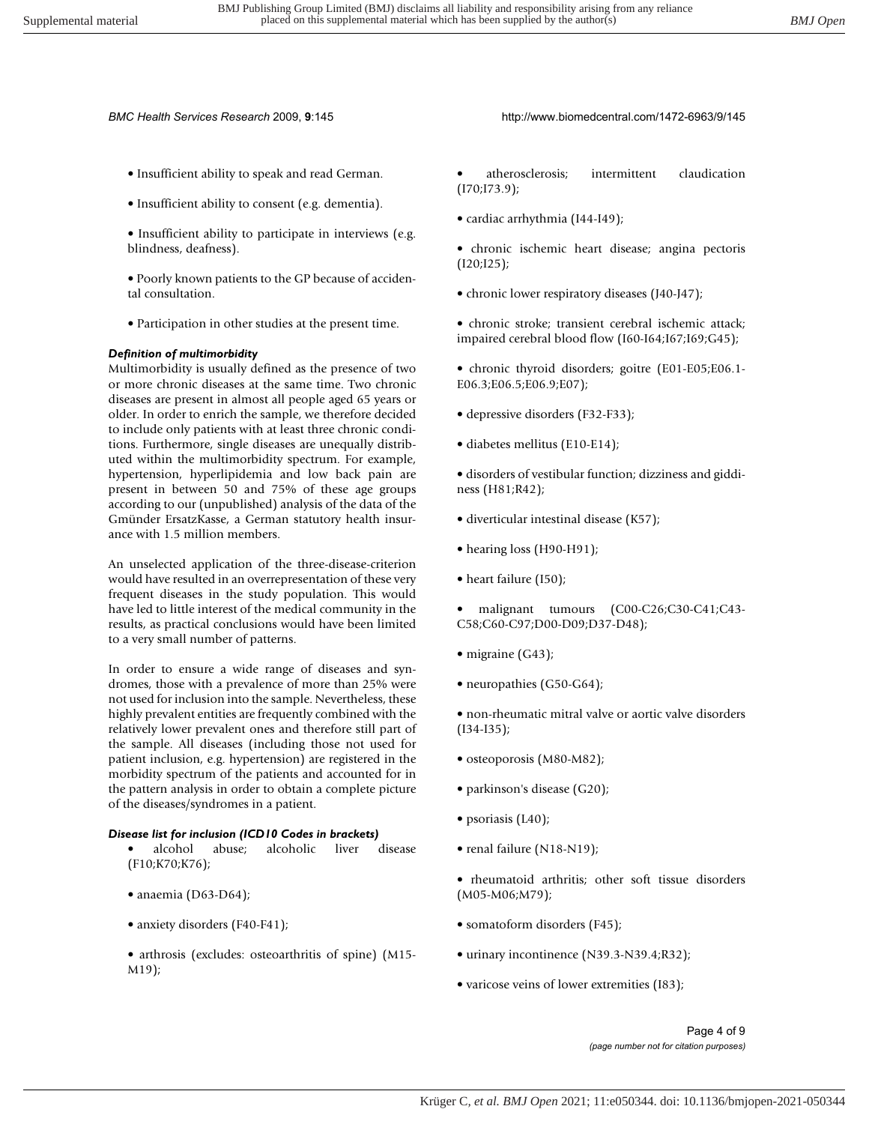- Insufficient ability to speak and read German.
- Insufficient ability to consent (e.g. dementia).
- Insufficient ability to participate in interviews (e.g. blindness, deafness).
- Poorly known patients to the GP because of accidental consultation.
- Participation in other studies at the present time.

### *Definition of multimorbidity*

Multimorbidity is usually defined as the presence of two or more chronic diseases at the same time. Two chronic diseases are present in almost all people aged 65 years or older. In order to enrich the sample, we therefore decided to include only patients with at least three chronic conditions. Furthermore, single diseases are unequally distributed within the multimorbidity spectrum. For example, hypertension, hyperlipidemia and low back pain are present in between 50 and 75% of these age groups according to our (unpublished) analysis of the data of the Gmünder ErsatzKasse, a German statutory health insurance with 1.5 million members.

An unselected application of the three-disease-criterion would have resulted in an overrepresentation of these very frequent diseases in the study population. This would have led to little interest of the medical community in the results, as practical conclusions would have been limited to a very small number of patterns.

In order to ensure a wide range of diseases and syndromes, those with a prevalence of more than 25% were not used for inclusion into the sample. Nevertheless, these highly prevalent entities are frequently combined with the relatively lower prevalent ones and therefore still part of the sample. All diseases (including those not used for patient inclusion, e.g. hypertension) are registered in the morbidity spectrum of the patients and accounted for in the pattern analysis in order to obtain a complete picture of the diseases/syndromes in a patient.

### *Disease list for inclusion (ICD10 Codes in brackets)*

- alcohol abuse; alcoholic liver disease (F10;K70;K76);
- anaemia (D63-D64);
- anxiety disorders (F40-F41);
- arthrosis (excludes: osteoarthritis of spine) (M15- M19);

- atherosclerosis; intermittent claudication (I70;I73.9);
- cardiac arrhythmia (I44-I49);
- chronic ischemic heart disease; angina pectoris (I20;I25);
- chronic lower respiratory diseases (J40-J47);
- chronic stroke; transient cerebral ischemic attack; impaired cerebral blood flow (I60-I64;I67;I69;G45);
- chronic thyroid disorders; goitre (E01-E05;E06.1- E06.3;E06.5;E06.9;E07);
- depressive disorders (F32-F33);
- diabetes mellitus (E10-E14);
- disorders of vestibular function; dizziness and giddiness (H81;R42);
- diverticular intestinal disease (K57);
- hearing loss (H90-H91);
- heart failure (150);
- malignant tumours (C00-C26;C30-C41;C43- C58;C60-C97;D00-D09;D37-D48);
- migraine (G43);
- neuropathies (G50-G64);
- non-rheumatic mitral valve or aortic valve disorders (I34-I35);
- osteoporosis (M80-M82);
- parkinson's disease (G20);
- psoriasis (L40);
- renal failure (N18-N19);
- rheumatoid arthritis; other soft tissue disorders (M05-M06;M79);
- somatoform disorders (F45);
- urinary incontinence (N39.3-N39.4;R32);
- varicose veins of lower extremities (I83);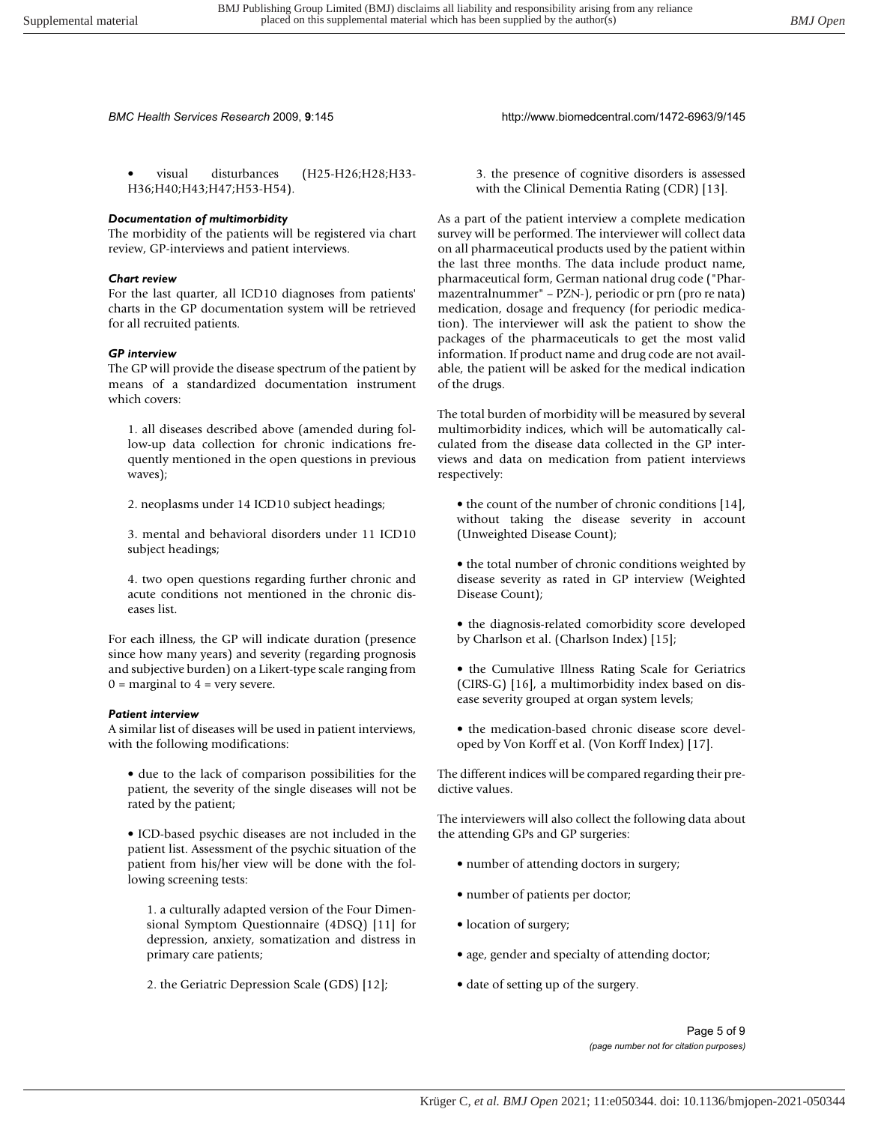• visual disturbances (H25-H26;H28;H33- H36;H40;H43;H47;H53-H54).

#### *Documentation of multimorbidity*

The morbidity of the patients will be registered via chart review, GP-interviews and patient interviews.

#### *Chart review*

For the last quarter, all ICD10 diagnoses from patients' charts in the GP documentation system will be retrieved for all recruited patients.

#### *GP interview*

The GP will provide the disease spectrum of the patient by means of a standardized documentation instrument which covers:

1. all diseases described above (amended during follow-up data collection for chronic indications frequently mentioned in the open questions in previous waves);

2. neoplasms under 14 ICD10 subject headings;

3. mental and behavioral disorders under 11 ICD10 subject headings;

4. two open questions regarding further chronic and acute conditions not mentioned in the chronic diseases list.

For each illness, the GP will indicate duration (presence since how many years) and severity (regarding prognosis and subjective burden) on a Likert-type scale ranging from  $0 =$  marginal to  $4 =$  very severe.

#### *Patient interview*

A similar list of diseases will be used in patient interviews, with the following modifications:

• due to the lack of comparison possibilities for the patient, the severity of the single diseases will not be rated by the patient;

• ICD-based psychic diseases are not included in the patient list. Assessment of the psychic situation of the patient from his/her view will be done with the following screening tests:

1. a culturally adapted version of the Four Dimensional Symptom Questionnaire (4DSQ) [11] for depression, anxiety, somatization and distress in primary care patients;

2. the Geriatric Depression Scale (GDS) [12];

3. the presence of cognitive disorders is assessed with the Clinical Dementia Rating (CDR) [13].

As a part of the patient interview a complete medication survey will be performed. The interviewer will collect data on all pharmaceutical products used by the patient within the last three months. The data include product name, pharmaceutical form, German national drug code ("Pharmazentralnummer" – PZN-), periodic or prn (pro re nata) medication, dosage and frequency (for periodic medication). The interviewer will ask the patient to show the packages of the pharmaceuticals to get the most valid information. If product name and drug code are not available, the patient will be asked for the medical indication of the drugs.

The total burden of morbidity will be measured by several multimorbidity indices, which will be automatically calculated from the disease data collected in the GP interviews and data on medication from patient interviews respectively:

• the count of the number of chronic conditions [14], without taking the disease severity in account (Unweighted Disease Count);

• the total number of chronic conditions weighted by disease severity as rated in GP interview (Weighted Disease Count);

• the diagnosis-related comorbidity score developed by Charlson et al. (Charlson Index) [15];

• the Cumulative Illness Rating Scale for Geriatrics (CIRS-G) [16], a multimorbidity index based on disease severity grouped at organ system levels;

• the medication-based chronic disease score developed by Von Korff et al. (Von Korff Index) [17].

The different indices will be compared regarding their predictive values.

The interviewers will also collect the following data about the attending GPs and GP surgeries:

- number of attending doctors in surgery;
- number of patients per doctor;
- location of surgery;
- age, gender and specialty of attending doctor;
- date of setting up of the surgery.

Page 5 of 9 *(page number not for citation purposes)*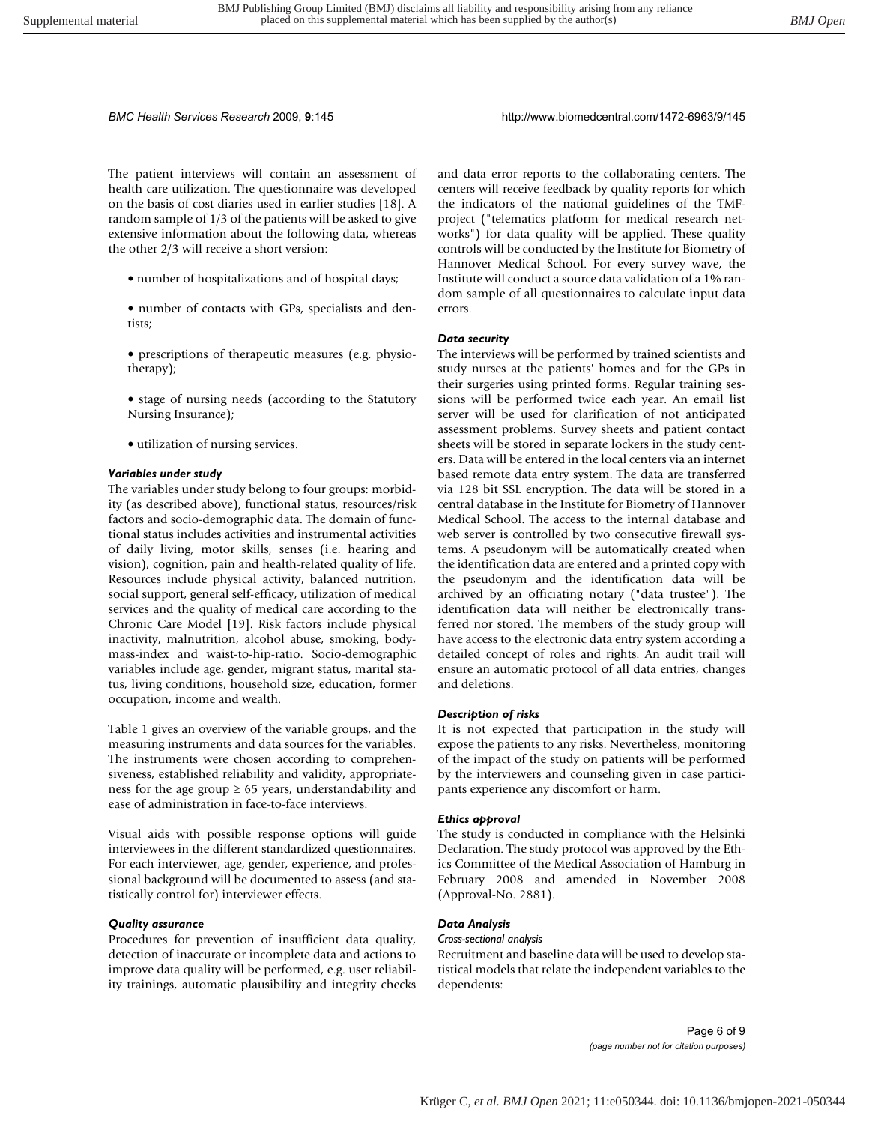The patient interviews will contain an assessment of health care utilization. The questionnaire was developed on the basis of cost diaries used in earlier studies [18]. A random sample of 1/3 of the patients will be asked to give extensive information about the following data, whereas the other 2/3 will receive a short version:

- number of hospitalizations and of hospital days;
- number of contacts with GPs, specialists and dentists;
- prescriptions of therapeutic measures (e.g. physiotherapy);
- stage of nursing needs (according to the Statutory Nursing Insurance);
- utilization of nursing services.

#### *Variables under study*

The variables under study belong to four groups: morbidity (as described above), functional status, resources/risk factors and socio-demographic data. The domain of functional status includes activities and instrumental activities of daily living, motor skills, senses (i.e. hearing and vision), cognition, pain and health-related quality of life. Resources include physical activity, balanced nutrition, social support, general self-efficacy, utilization of medical services and the quality of medical care according to the Chronic Care Model [19]. Risk factors include physical inactivity, malnutrition, alcohol abuse, smoking, bodymass-index and waist-to-hip-ratio. Socio-demographic variables include age, gender, migrant status, marital status, living conditions, household size, education, former occupation, income and wealth.

Table 1 gives an overview of the variable groups, and the measuring instruments and data sources for the variables. The instruments were chosen according to comprehensiveness, established reliability and validity, appropriateness for the age group  $\geq 65$  years, understandability and ease of administration in face-to-face interviews.

Visual aids with possible response options will guide interviewees in the different standardized questionnaires. For each interviewer, age, gender, experience, and professional background will be documented to assess (and statistically control for) interviewer effects.

#### *Quality assurance*

Procedures for prevention of insufficient data quality, detection of inaccurate or incomplete data and actions to improve data quality will be performed, e.g. user reliability trainings, automatic plausibility and integrity checks and data error reports to the collaborating centers. The centers will receive feedback by quality reports for which the indicators of the national guidelines of the TMFproject ("telematics platform for medical research networks") for data quality will be applied. These quality controls will be conducted by the Institute for Biometry of Hannover Medical School. For every survey wave, the Institute will conduct a source data validation of a 1% random sample of all questionnaires to calculate input data errors.

#### *Data security*

The interviews will be performed by trained scientists and study nurses at the patients' homes and for the GPs in their surgeries using printed forms. Regular training sessions will be performed twice each year. An email list server will be used for clarification of not anticipated assessment problems. Survey sheets and patient contact sheets will be stored in separate lockers in the study centers. Data will be entered in the local centers via an internet based remote data entry system. The data are transferred via 128 bit SSL encryption. The data will be stored in a central database in the Institute for Biometry of Hannover Medical School. The access to the internal database and web server is controlled by two consecutive firewall systems. A pseudonym will be automatically created when the identification data are entered and a printed copy with the pseudonym and the identification data will be archived by an officiating notary ("data trustee"). The identification data will neither be electronically transferred nor stored. The members of the study group will have access to the electronic data entry system according a detailed concept of roles and rights. An audit trail will ensure an automatic protocol of all data entries, changes and deletions.

#### *Description of risks*

It is not expected that participation in the study will expose the patients to any risks. Nevertheless, monitoring of the impact of the study on patients will be performed by the interviewers and counseling given in case participants experience any discomfort or harm.

#### *Ethics approval*

The study is conducted in compliance with the Helsinki Declaration. The study protocol was approved by the Ethics Committee of the Medical Association of Hamburg in February 2008 and amended in November 2008 (Approval-No. 2881).

### *Data Analysis*

### *Cross-sectional analysis*

Recruitment and baseline data will be used to develop statistical models that relate the independent variables to the dependents:

> Page 6 of 9 *(page number not for citation purposes)*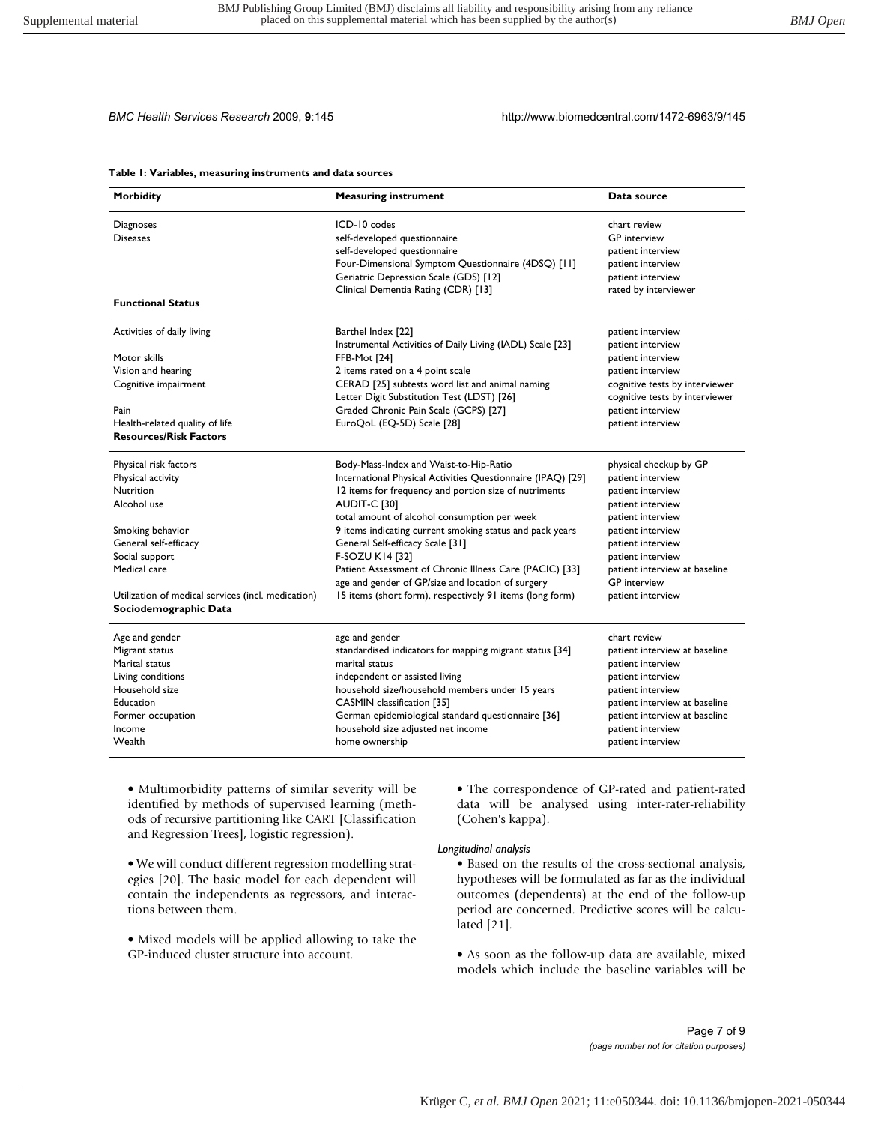#### **Table 1: Variables, measuring instruments and data sources**

| Morbidity                                          | <b>Measuring instrument</b>                                 | Data source                    |
|----------------------------------------------------|-------------------------------------------------------------|--------------------------------|
| Diagnoses                                          | ICD-10 codes                                                | chart review                   |
| <b>Diseases</b>                                    | self-developed questionnaire                                | <b>GP</b> interview            |
|                                                    | self-developed questionnaire                                | patient interview              |
|                                                    | Four-Dimensional Symptom Questionnaire (4DSQ) [11]          | patient interview              |
|                                                    | Geriatric Depression Scale (GDS) [12]                       | patient interview              |
|                                                    | Clinical Dementia Rating (CDR) [13]                         | rated by interviewer           |
| <b>Functional Status</b>                           |                                                             |                                |
| Activities of daily living                         | Barthel Index [22]                                          | patient interview              |
|                                                    | Instrumental Activities of Daily Living (IADL) Scale [23]   | patient interview              |
| Motor skills                                       | FFB-Mot [24]                                                | patient interview              |
| Vision and hearing                                 | 2 items rated on a 4 point scale                            | patient interview              |
| Cognitive impairment                               | CERAD [25] subtests word list and animal naming             | cognitive tests by interviewer |
|                                                    | Letter Digit Substitution Test (LDST) [26]                  | cognitive tests by interviewer |
| Pain                                               | Graded Chronic Pain Scale (GCPS) [27]                       | patient interview              |
| Health-related quality of life                     | EuroQoL (EQ-5D) Scale [28]                                  | patient interview              |
| <b>Resources/Risk Factors</b>                      |                                                             |                                |
| Physical risk factors                              | Body-Mass-Index and Waist-to-Hip-Ratio                      | physical checkup by GP         |
| Physical activity                                  | International Physical Activities Questionnaire (IPAQ) [29] | patient interview              |
| Nutrition                                          | 12 items for frequency and portion size of nutriments       | patient interview              |
| Alcohol use                                        | AUDIT-C [30]                                                | patient interview              |
|                                                    | total amount of alcohol consumption per week                | patient interview              |
| Smoking behavior                                   | 9 items indicating current smoking status and pack years    | patient interview              |
| General self-efficacy                              | General Self-efficacy Scale [31]                            | patient interview              |
| Social support                                     | F-SOZU K14 [32]                                             | patient interview              |
| Medical care                                       | Patient Assessment of Chronic Illness Care (PACIC) [33]     | patient interview at baseline  |
|                                                    | age and gender of GP/size and location of surgery           | <b>GP</b> interview            |
| Utilization of medical services (incl. medication) | 15 items (short form), respectively 91 items (long form)    | patient interview              |
| Sociodemographic Data                              |                                                             |                                |
| Age and gender                                     | age and gender                                              | chart review                   |
| Migrant status                                     | standardised indicators for mapping migrant status [34]     | patient interview at baseline  |
| Marital status                                     | marital status                                              | patient interview              |
| Living conditions                                  | independent or assisted living                              | patient interview              |
| Household size                                     | household size/household members under 15 years             | patient interview              |
| Education                                          | CASMIN classification [35]                                  | patient interview at baseline  |
| Former occupation                                  | German epidemiological standard questionnaire [36]          | patient interview at baseline  |
| Income                                             | household size adjusted net income                          | patient interview              |
| Wealth                                             | home ownership                                              | patient interview              |

• Multimorbidity patterns of similar severity will be identified by methods of supervised learning (methods of recursive partitioning like CART [Classification and Regression Trees], logistic regression).

• We will conduct different regression modelling strategies [20]. The basic model for each dependent will contain the independents as regressors, and interactions between them.

• Mixed models will be applied allowing to take the GP-induced cluster structure into account.

• The correspondence of GP-rated and patient-rated data will be analysed using inter-rater-reliability (Cohen's kappa).

#### *Longitudinal analysis*

• Based on the results of the cross-sectional analysis, hypotheses will be formulated as far as the individual outcomes (dependents) at the end of the follow-up period are concerned. Predictive scores will be calculated [21].

• As soon as the follow-up data are available, mixed models which include the baseline variables will be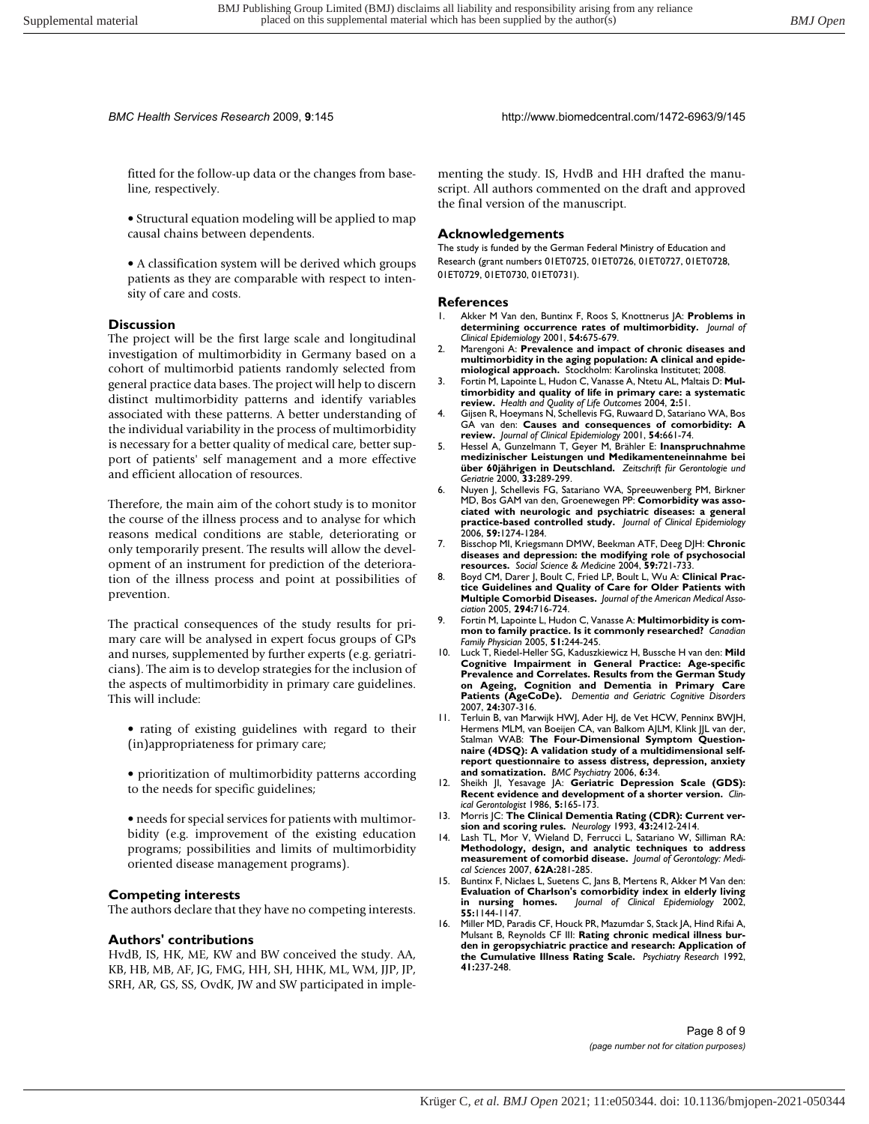fitted for the follow-up data or the changes from baseline, respectively.

• Structural equation modeling will be applied to map causal chains between dependents.

• A classification system will be derived which groups patients as they are comparable with respect to intensity of care and costs.

#### **Discussion**

The project will be the first large scale and longitudinal investigation of multimorbidity in Germany based on a cohort of multimorbid patients randomly selected from general practice data bases. The project will help to discern distinct multimorbidity patterns and identify variables associated with these patterns. A better understanding of the individual variability in the process of multimorbidity is necessary for a better quality of medical care, better support of patients' self management and a more effective and efficient allocation of resources.

Therefore, the main aim of the cohort study is to monitor the course of the illness process and to analyse for which reasons medical conditions are stable, deteriorating or only temporarily present. The results will allow the development of an instrument for prediction of the deterioration of the illness process and point at possibilities of prevention.

The practical consequences of the study results for primary care will be analysed in expert focus groups of GPs and nurses, supplemented by further experts (e.g. geriatricians). The aim is to develop strategies for the inclusion of the aspects of multimorbidity in primary care guidelines. This will include:

- rating of existing guidelines with regard to their (in)appropriateness for primary care;
- prioritization of multimorbidity patterns according to the needs for specific guidelines;
- needs for special services for patients with multimorbidity (e.g. improvement of the existing education programs; possibilities and limits of multimorbidity oriented disease management programs).

#### **Competing interests**

The authors declare that they have no competing interests.

#### **Authors' contributions**

HvdB, IS, HK, ME, KW and BW conceived the study. AA, KB, HB, MB, AF, JG, FMG, HH, SH, HHK, ML, WM, JJP, JP, SRH, AR, GS, SS, OvdK, JW and SW participated in implementing the study. IS, HvdB and HH drafted the manuscript. All authors commented on the draft and approved the final version of the manuscript.

#### **Acknowledgements**

The study is funded by the German Federal Ministry of Education and Research (grant numbers 01ET0725, 01ET0726, 01ET0727, 01ET0728, 01ET0729, 01ET0730, 01ET0731).

#### **References**

- 1. Akker M Van den, Buntinx F, Roos S, Knottnerus JA: **[Problems in](http://www.ncbi.nlm.nih.gov/entrez/query.fcgi?cmd=Retrieve&db=PubMed&dopt=Abstract&list_uids=11438407) [determining occurrence rates of multimorbidity.](http://www.ncbi.nlm.nih.gov/entrez/query.fcgi?cmd=Retrieve&db=PubMed&dopt=Abstract&list_uids=11438407)** *Journal of Clinical Epidemiology* 2001, **54:**675-679.
- 2. Marengoni A: **Prevalence and impact of chronic diseases and multimorbidity in the aging population: A clinical and epide-miological approach.** Stockholm: Karolinska Institutet; 2008.
- 3. Fortin M, Lapointe L, Hudon C, Vanasse A, Ntetu AL, Maltais D: **[Mul](http://www.ncbi.nlm.nih.gov/entrez/query.fcgi?cmd=Retrieve&db=PubMed&dopt=Abstract&list_uids=15380021)[timorbidity and quality of life in primary care: a systematic](http://www.ncbi.nlm.nih.gov/entrez/query.fcgi?cmd=Retrieve&db=PubMed&dopt=Abstract&list_uids=15380021) [review.](http://www.ncbi.nlm.nih.gov/entrez/query.fcgi?cmd=Retrieve&db=PubMed&dopt=Abstract&list_uids=15380021)** *Health and Quality of Life Outcomes* 2004, **2:**51.
- 4. Gijsen R, Hoeymans N, Schellevis FG, Ruwaard D, Satariano WA, Bos GA van den: **[Causes and consequences of comorbidity: A](http://www.ncbi.nlm.nih.gov/entrez/query.fcgi?cmd=Retrieve&db=PubMed&dopt=Abstract&list_uids=11438406)**
- **[review.](http://www.ncbi.nlm.nih.gov/entrez/query.fcgi?cmd=Retrieve&db=PubMed&dopt=Abstract&list_uids=11438406)** *Journal of Clinical Epidemiology* 2001, **54:**661-74. 5. Hessel A, Gunzelmann T, Geyer M, Brähler E: **Inanspruchnahme medizinischer Leistungen und Medikamenteneinnahme bei über 60jährigen in Deutschland.** *Zeitschrift für Gerontologie und Geriatrie* 2000, **33:**289-299.
- 6. Nuyen J, Schellevis FG, Satariano WA, Spreeuwenberg PM, Birkner MD, Bos GAM van den, Groenewegen PP: **[Comorbidity was asso](http://www.ncbi.nlm.nih.gov/entrez/query.fcgi?cmd=Retrieve&db=PubMed&dopt=Abstract&list_uids=17098570)[ciated with neurologic and psychiatric diseases: a general](http://www.ncbi.nlm.nih.gov/entrez/query.fcgi?cmd=Retrieve&db=PubMed&dopt=Abstract&list_uids=17098570) [practice-based controlled study.](http://www.ncbi.nlm.nih.gov/entrez/query.fcgi?cmd=Retrieve&db=PubMed&dopt=Abstract&list_uids=17098570)** *Journal of Clinical Epidemiology* 2006, **59:**1274-1284.
- 7. Bisschop MI, Kriegsmann DMW, Beekman ATF, Deeg DJH: **Chronic diseases and depression: the modifying role of psychosocial resources.** *Social Science & Medicine* 2004, **59:**721-733.
- 8. Boyd CM, Darer J, Boult C, Fried LP, Boult L, Wu A: **[Clinical Prac](http://www.ncbi.nlm.nih.gov/entrez/query.fcgi?cmd=Retrieve&db=PubMed&dopt=Abstract&list_uids=16091574)[tice Guidelines and Quality of Care for Older Patients with](http://www.ncbi.nlm.nih.gov/entrez/query.fcgi?cmd=Retrieve&db=PubMed&dopt=Abstract&list_uids=16091574) [Multiple Comorbid Diseases.](http://www.ncbi.nlm.nih.gov/entrez/query.fcgi?cmd=Retrieve&db=PubMed&dopt=Abstract&list_uids=16091574)** *Journal of the American Medical Association* 2005, **294:**716-724.
- 9. Fortin M, Lapointe L, Hudon C, Vanasse A: **[Multimorbidity is com](http://www.ncbi.nlm.nih.gov/entrez/query.fcgi?cmd=Retrieve&db=PubMed&dopt=Abstract&list_uids=16926936)[mon to family practice. Is it commonly researched?](http://www.ncbi.nlm.nih.gov/entrez/query.fcgi?cmd=Retrieve&db=PubMed&dopt=Abstract&list_uids=16926936)** *Canadian Family Physician* 2005, **51:**244-245.
- 10. Luck T, Riedel-Heller SG, Kaduszkiewicz H, Bussche H van den: **[Mild](http://www.ncbi.nlm.nih.gov/entrez/query.fcgi?cmd=Retrieve&db=PubMed&dopt=Abstract&list_uids=17848793) [Cognitive Impairment in General Practice: Age-specific](http://www.ncbi.nlm.nih.gov/entrez/query.fcgi?cmd=Retrieve&db=PubMed&dopt=Abstract&list_uids=17848793) Prevalence and Correlates. Results from the German Study on Ageing, Cognition and Dementia in Primary Care [Patients \(AgeCoDe\).](http://www.ncbi.nlm.nih.gov/entrez/query.fcgi?cmd=Retrieve&db=PubMed&dopt=Abstract&list_uids=17848793)** *Dementia and Geriatric Cognitive Disorders* 2007, **24:**307-316.
- 11. Terluin B, van Marwijk HWJ, Ader HJ, de Vet HCW, Penninx BWJH, Hermens MLM, van Boeijen CA, van Balkom AJLM, Klink JJL van der, Stalman WAB: [The Four-Dimensional Symptom Question](http://www.ncbi.nlm.nih.gov/entrez/query.fcgi?cmd=Retrieve&db=PubMed&dopt=Abstract&list_uids=16925825)**[naire \(4DSQ\): A validation study of a multidimensional self](http://www.ncbi.nlm.nih.gov/entrez/query.fcgi?cmd=Retrieve&db=PubMed&dopt=Abstract&list_uids=16925825)report questionnaire to assess distress, depression, anxiety [and somatization.](http://www.ncbi.nlm.nih.gov/entrez/query.fcgi?cmd=Retrieve&db=PubMed&dopt=Abstract&list_uids=16925825)** *BMC Psychiatry* 2006, **6:**34.
- 12. Sheikh JI, Yesavage JA: **Geriatric Depression Scale (GDS): Recent evidence and development of a shorter version.** *Clinical Gerontologist* 1986, **5:**165-173.
- Morris JC: [The Clinical Dementia Rating \(CDR\): Current ver](http://www.ncbi.nlm.nih.gov/entrez/query.fcgi?cmd=Retrieve&db=PubMed&dopt=Abstract&list_uids=8232972)**[sion and scoring rules.](http://www.ncbi.nlm.nih.gov/entrez/query.fcgi?cmd=Retrieve&db=PubMed&dopt=Abstract&list_uids=8232972)** *Neurology* 1993, **43:**2412-2414.
- 14. Lash TL, Mor V, Wieland D, Ferrucci L, Satariano W, Silliman RA: **Methodology, design, and analytic techniques to address measurement of comorbid disease.** *Journal of Gerontology: Medical Sciences* 2007, **62A:**281-285.
- 15. Buntinx F, Niclaes L, Suetens C, Jans B, Mertens R, Akker M Van den[:](http://www.ncbi.nlm.nih.gov/entrez/query.fcgi?cmd=Retrieve&db=PubMed&dopt=Abstract&list_uids=12507679) **[Evaluation of Charlson's comorbidity index in elderly living](http://www.ncbi.nlm.nih.gov/entrez/query.fcgi?cmd=Retrieve&db=PubMed&dopt=Abstract&list_uids=12507679) [in nursing homes.](http://www.ncbi.nlm.nih.gov/entrez/query.fcgi?cmd=Retrieve&db=PubMed&dopt=Abstract&list_uids=12507679)** *Journal of Clinical Epidemiology* 2002, **55:**1144-1147.
- 16. Miller MD, Paradis CF, Houck PR, Mazumdar S, Stack JA, Hind Rifai A, Mulsant B, Reynolds CF III: **[Rating chronic medical illness bur](http://www.ncbi.nlm.nih.gov/entrez/query.fcgi?cmd=Retrieve&db=PubMed&dopt=Abstract&list_uids=1594710)[den in geropsychiatric practice and research: Application of](http://www.ncbi.nlm.nih.gov/entrez/query.fcgi?cmd=Retrieve&db=PubMed&dopt=Abstract&list_uids=1594710) [the Cumulative Illness Rating Scale.](http://www.ncbi.nlm.nih.gov/entrez/query.fcgi?cmd=Retrieve&db=PubMed&dopt=Abstract&list_uids=1594710)** *Psychiatry Research* 1992, **41:**237-248.

Page 8 of 9 *(page number not for citation purposes)*